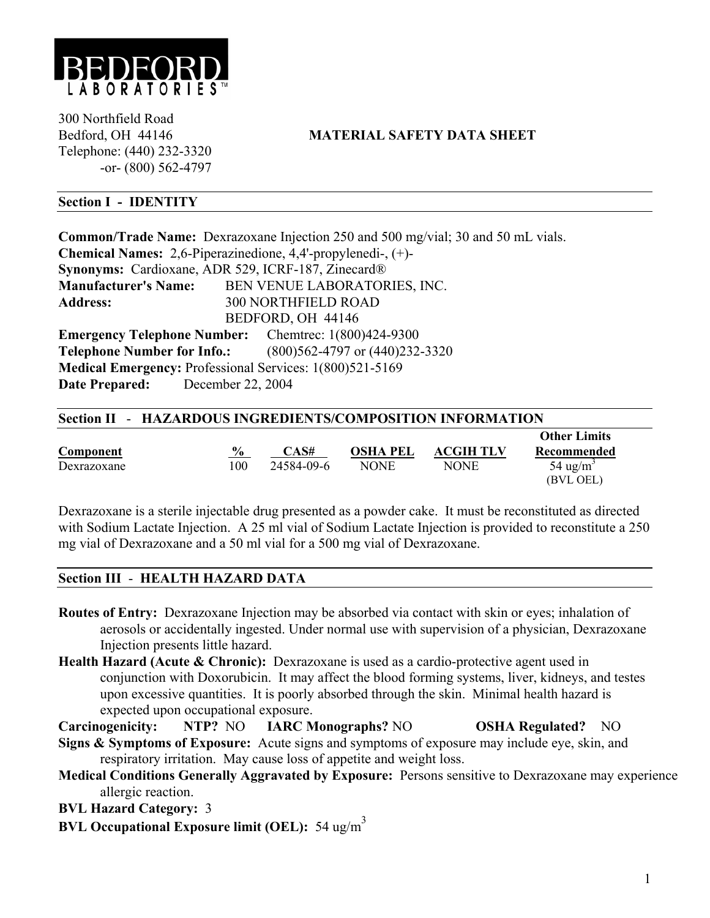

300 Northfield Road Telephone: (440) 232-3320 -or- (800) 562-4797

# Bedford, OH 44146 **MATERIAL SAFETY DATA SHEET**

### **Section I - IDENTITY**

**Common/Trade Name:** Dexrazoxane Injection 250 and 500 mg/vial; 30 and 50 mL vials. **Chemical Names:** 2,6-Piperazinedione, 4,4'-propylenedi-, (+)- **Synonyms:** Cardioxane, ADR 529, ICRF-187, Zinecard® **Manufacturer's Name:** BEN VENUE LABORATORIES, INC. **Address:** 300 NORTHFIELD ROAD BEDFORD, OH 44146 **Emergency Telephone Number:** Chemtrec: 1(800)424-9300 **Telephone Number for Info.:** (800)562-4797 or (440)232-3320 **Medical Emergency:** Professional Services: 1(800)521-5169 **Date Prepared:** December 22, 2004

| Section II - HAZARDOUS INGREDIENTS/COMPOSITION INFORMATION |  |
|------------------------------------------------------------|--|
|------------------------------------------------------------|--|

|             |               |                  |                 |                  | <b>Other Limits</b>  |
|-------------|---------------|------------------|-----------------|------------------|----------------------|
| Component   | $\frac{6}{9}$ | $\mathbb{C}$ AS# | <b>OSHA PEL</b> | <b>ACGIH TLV</b> | Recommended          |
| Dexrazoxane | 100           | 24584-09-6       | <b>NONE</b>     | <b>NONE</b>      | 54 ug/m <sup>3</sup> |
|             |               |                  |                 |                  | (BVL OEL)            |

Dexrazoxane is a sterile injectable drug presented as a powder cake. It must be reconstituted as directed with Sodium Lactate Injection. A 25 ml vial of Sodium Lactate Injection is provided to reconstitute a 250 mg vial of Dexrazoxane and a 50 ml vial for a 500 mg vial of Dexrazoxane.

#### **Section III** - **HEALTH HAZARD DATA**

- **Routes of Entry:** Dexrazoxane Injection may be absorbed via contact with skin or eyes; inhalation of aerosols or accidentally ingested. Under normal use with supervision of a physician, Dexrazoxane Injection presents little hazard.
- **Health Hazard (Acute & Chronic):** Dexrazoxane is used as a cardio-protective agent used in conjunction with Doxorubicin. It may affect the blood forming systems, liver, kidneys, and testes upon excessive quantities. It is poorly absorbed through the skin. Minimal health hazard is expected upon occupational exposure.

**Carcinogenicity: NTP?** NO **IARC Monographs?** NO **OSHA Regulated?** NO

- **Signs & Symptoms of Exposure:** Acute signs and symptoms of exposure may include eye, skin, and respiratory irritation. May cause loss of appetite and weight loss.
- **Medical Conditions Generally Aggravated by Exposure:** Persons sensitive to Dexrazoxane may experience allergic reaction.
- **BVL Hazard Category:** 3
- **BVL Occupational Exposure limit (OEL):** 54 ug/m3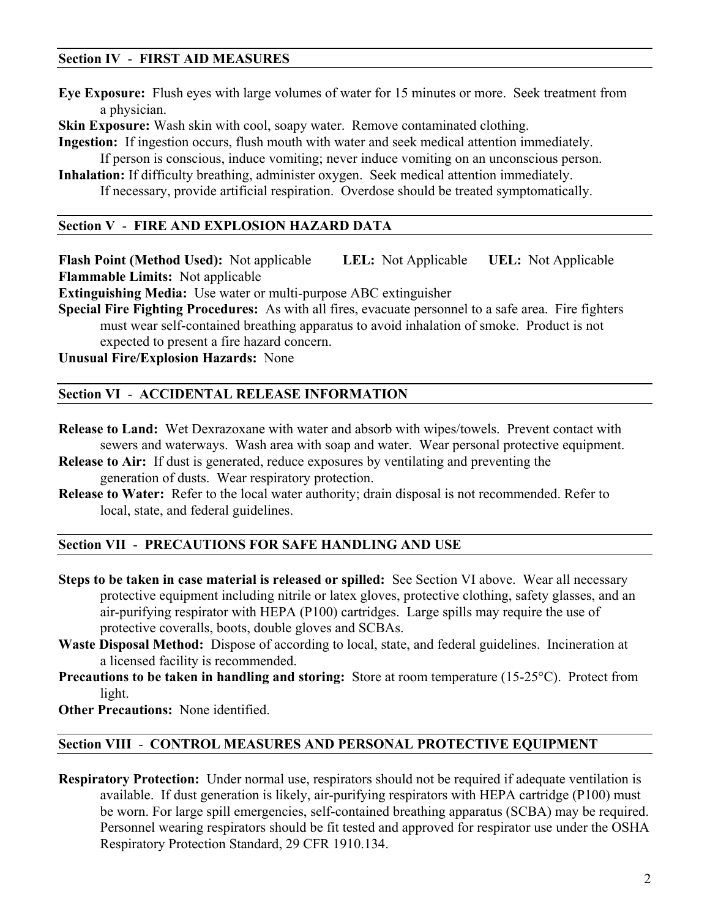### **Section IV** - **FIRST AID MEASURES**

**Eye Exposure:** Flush eyes with large volumes of water for 15 minutes or more. Seek treatment from a physician.

**Skin Exposure:** Wash skin with cool, soapy water. Remove contaminated clothing.

**Ingestion:** If ingestion occurs, flush mouth with water and seek medical attention immediately.

If person is conscious, induce vomiting; never induce vomiting on an unconscious person.

**Inhalation:** If difficulty breathing, administer oxygen. Seek medical attention immediately. If necessary, provide artificial respiration. Overdose should be treated symptomatically.

### **Section V** - **FIRE AND EXPLOSION HAZARD DATA**

**Flash Point (Method Used):** Not applicable **LEL:** Not Applicable **UEL:** Not Applicable **Flammable Limits:** Not applicable

**Extinguishing Media:** Use water or multi-purpose ABC extinguisher

**Special Fire Fighting Procedures:** As with all fires, evacuate personnel to a safe area. Fire fighters must wear self-contained breathing apparatus to avoid inhalation of smoke. Product is not expected to present a fire hazard concern.

**Unusual Fire/Explosion Hazards:** None

### **Section VI** - **ACCIDENTAL RELEASE INFORMATION**

- **Release to Land:** Wet Dexrazoxane with water and absorb with wipes/towels. Prevent contact with sewers and waterways. Wash area with soap and water. Wear personal protective equipment.
- **Release to Air:** If dust is generated, reduce exposures by ventilating and preventing the generation of dusts. Wear respiratory protection.
- **Release to Water:** Refer to the local water authority; drain disposal is not recommended. Refer to local, state, and federal guidelines.

### **Section VII** - **PRECAUTIONS FOR SAFE HANDLING AND USE**

- **Steps to be taken in case material is released or spilled:** See Section VI above. Wear all necessary protective equipment including nitrile or latex gloves, protective clothing, safety glasses, and an air-purifying respirator with HEPA (P100) cartridges. Large spills may require the use of protective coveralls, boots, double gloves and SCBAs.
- **Waste Disposal Method:** Dispose of according to local, state, and federal guidelines. Incineration at a licensed facility is recommended.
- **Precautions to be taken in handling and storing:** Store at room temperature (15-25°C). Protect from light.

**Other Precautions:** None identified.

### **Section VIII** - **CONTROL MEASURES AND PERSONAL PROTECTIVE EQUIPMENT**

**Respiratory Protection:** Under normal use, respirators should not be required if adequate ventilation is available. If dust generation is likely, air-purifying respirators with HEPA cartridge (P100) must be worn. For large spill emergencies, self-contained breathing apparatus (SCBA) may be required. Personnel wearing respirators should be fit tested and approved for respirator use under the OSHA Respiratory Protection Standard, 29 CFR 1910.134.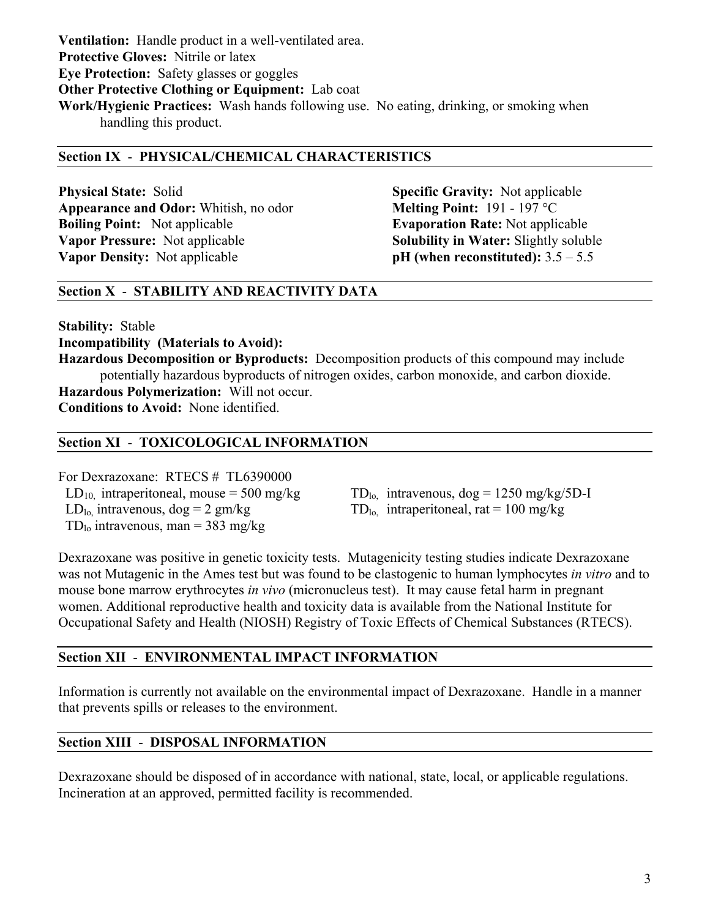**Ventilation:** Handle product in a well-ventilated area. **Protective Gloves:** Nitrile or latex **Eye Protection:** Safety glasses or goggles **Other Protective Clothing or Equipment:** Lab coat **Work/Hygienic Practices:** Wash hands following use. No eating, drinking, or smoking when handling this product.

### **Section IX** - **PHYSICAL/CHEMICAL CHARACTERISTICS**

**Physical State:** Solid **Specific Gravity:** Not applicable **Appearance and Odor:** Whitish, no odor **Melting Point:** 191 - 197 °C **Boiling Point:** Not applicable **Evaporation Rate:** Not applicable **Vapor Pressure:** Not applicable **Solubility in Water:** Slightly soluble **Vapor Density:** Not applicable **pH** (when reconstituted):  $3.5 - 5.5$ 

# **Section X** - **STABILITY AND REACTIVITY DATA**

**Stability:** Stable

**Incompatibility (Materials to Avoid):**

**Hazardous Decomposition or Byproducts:** Decomposition products of this compound may include potentially hazardous byproducts of nitrogen oxides, carbon monoxide, and carbon dioxide.

**Hazardous Polymerization:** Will not occur. **Conditions to Avoid:** None identified.

# **Section XI** - **TOXICOLOGICAL INFORMATION**

For Dexrazoxane: RTECS # TL6390000  $LD<sub>lo</sub>$  intravenous,  $dog = 2 gm/kg$  TD<sub>lo,</sub> intraperitoneal, rat = 100 mg/kg  $TD_{10}$  intravenous, man = 383 mg/kg

 $LD_{10}$  intraperitoneal, mouse = 500 mg/kg  $TD_{10}$  intravenous, dog = 1250 mg/kg/5D-I

Dexrazoxane was positive in genetic toxicity tests. Mutagenicity testing studies indicate Dexrazoxane was not Mutagenic in the Ames test but was found to be clastogenic to human lymphocytes *in vitro* and to mouse bone marrow erythrocytes *in vivo* (micronucleus test). It may cause fetal harm in pregnant women. Additional reproductive health and toxicity data is available from the National Institute for Occupational Safety and Health (NIOSH) Registry of Toxic Effects of Chemical Substances (RTECS).

# **Section XII** - **ENVIRONMENTAL IMPACT INFORMATION**

Information is currently not available on the environmental impact of Dexrazoxane. Handle in a manner that prevents spills or releases to the environment.

# **Section XIII** - **DISPOSAL INFORMATION**

Dexrazoxane should be disposed of in accordance with national, state, local, or applicable regulations. Incineration at an approved, permitted facility is recommended.